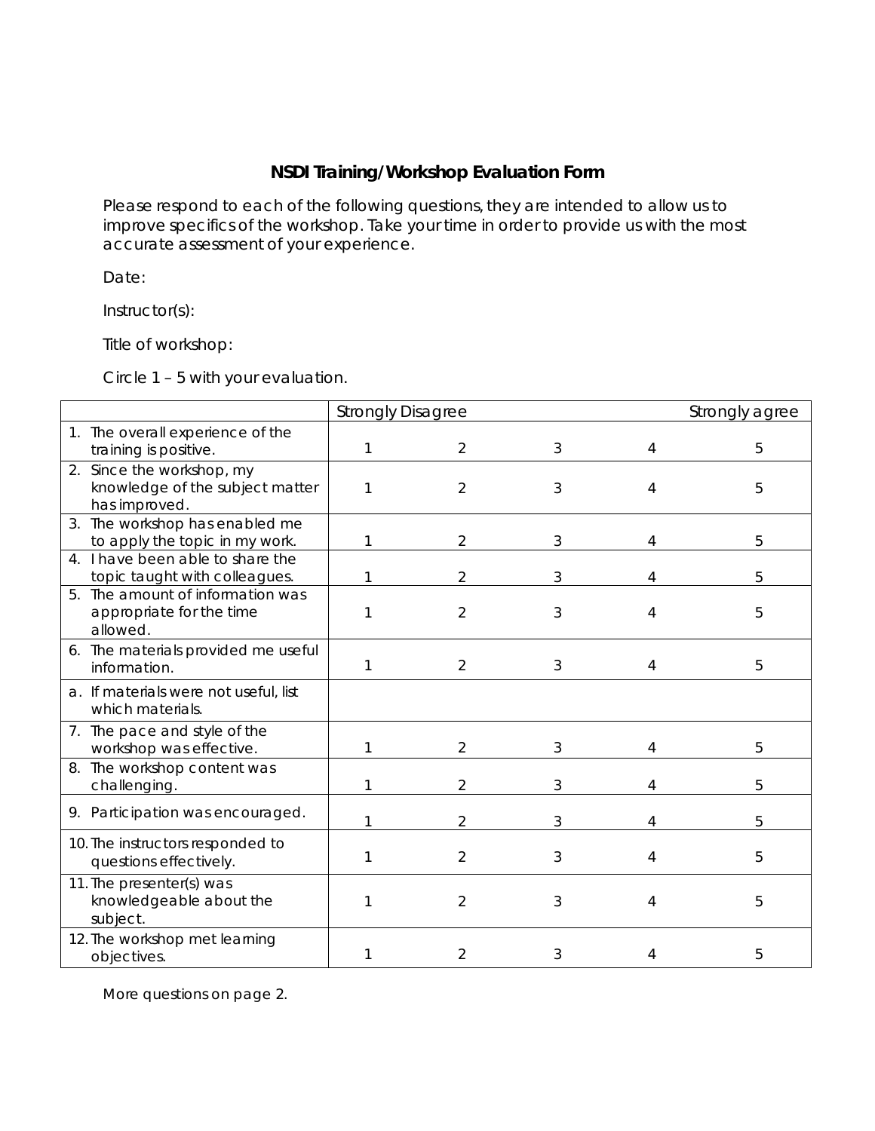## **NSDI Training/Workshop Evaluation Form**

Please respond to each of the following questions, they are intended to allow us to improve specifics of the workshop. Take your time in order to provide us with the most accurate assessment of your experience.

Date:

Instructor(s):

Title of workshop:

Circle 1 – 5 with your evaluation.

|                                                                               | <b>Strongly Disagree</b> |                |   |   | Strongly agree |  |
|-------------------------------------------------------------------------------|--------------------------|----------------|---|---|----------------|--|
| 1. The overall experience of the<br>training is positive.                     | 1                        | $\overline{2}$ | 3 | 4 | 5              |  |
| 2. Since the workshop, my<br>knowledge of the subject matter<br>has improved. | 1                        | 2              | 3 | 4 | 5              |  |
| 3. The workshop has enabled me<br>to apply the topic in my work.              | 1                        | 2              | 3 | 4 | 5              |  |
| 4. I have been able to share the<br>topic taught with colleagues.             |                          | 2              | 3 |   | 5              |  |
| 5. The amount of information was<br>appropriate for the time<br>allowed.      | 1                        | $\overline{2}$ | 3 | 4 | 5              |  |
| 6. The materials provided me useful<br>information.                           | 1                        | $\overline{2}$ | 3 | 4 | 5              |  |
| a. If materials were not useful, list<br>which materials.                     |                          |                |   |   |                |  |
| 7. The pace and style of the<br>workshop was effective.                       | 1                        | 2              | 3 | 4 | 5              |  |
| 8. The workshop content was<br>challenging.                                   | 1                        | 2              | 3 | Λ | 5              |  |
| 9. Participation was encouraged.                                              |                          | 2              | 3 |   | 5              |  |
| 10. The instructors responded to<br>questions effectively.                    |                          | $\overline{2}$ | 3 |   | 5              |  |
| 11. The presenter(s) was<br>knowledgeable about the<br>subject.               | 1                        | $\overline{2}$ | 3 | 4 | 5              |  |
| 12. The workshop met learning<br>objectives.                                  | 1                        | $\overline{2}$ | 3 | 4 | 5              |  |

More questions on page 2.